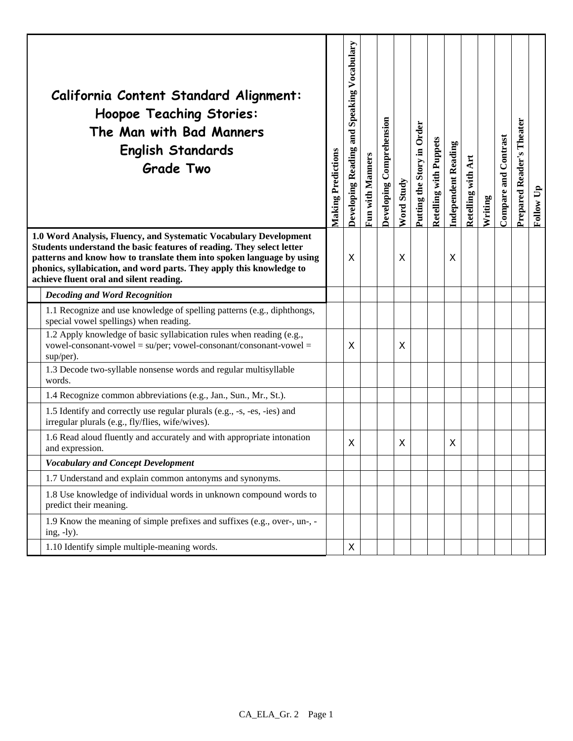|                                                                                                                                                                                                                                                                                                                                        | California Content Standard Alignment:<br><b>Hoopoe Teaching Stories:</b><br>The Man with Bad Manners<br><b>English Standards</b><br><b>Grade Two</b>          | <b>Making Predictions</b> | and Speaking Vocabulary<br>Developing Reading | <b>Fun with Manners</b> | Developing Comprehension | Word Study | Putting the Story in Order | <b>Retelling with Puppets</b> | <b>Independent Reading</b> | with Art<br><b>Retelling</b> | Writing | Compare and Contrast | Theater<br><b>Prepared Reader's</b> | Follow Up |
|----------------------------------------------------------------------------------------------------------------------------------------------------------------------------------------------------------------------------------------------------------------------------------------------------------------------------------------|----------------------------------------------------------------------------------------------------------------------------------------------------------------|---------------------------|-----------------------------------------------|-------------------------|--------------------------|------------|----------------------------|-------------------------------|----------------------------|------------------------------|---------|----------------------|-------------------------------------|-----------|
| 1.0 Word Analysis, Fluency, and Systematic Vocabulary Development<br>Students understand the basic features of reading. They select letter<br>patterns and know how to translate them into spoken language by using<br>phonics, syllabication, and word parts. They apply this knowledge to<br>achieve fluent oral and silent reading. |                                                                                                                                                                |                           | X                                             |                         |                          | X          |                            |                               | X                          |                              |         |                      |                                     |           |
|                                                                                                                                                                                                                                                                                                                                        | <b>Decoding and Word Recognition</b>                                                                                                                           |                           |                                               |                         |                          |            |                            |                               |                            |                              |         |                      |                                     |           |
|                                                                                                                                                                                                                                                                                                                                        | 1.1 Recognize and use knowledge of spelling patterns (e.g., diphthongs,<br>special vowel spellings) when reading.                                              |                           |                                               |                         |                          |            |                            |                               |                            |                              |         |                      |                                     |           |
|                                                                                                                                                                                                                                                                                                                                        | 1.2 Apply knowledge of basic syllabication rules when reading (e.g.,<br>$vowel-consonant-vowel = su/per$ ; $vowel-consonant/consonant-vowel =$<br>$sup/per)$ . |                           | X                                             |                         |                          | X          |                            |                               |                            |                              |         |                      |                                     |           |
|                                                                                                                                                                                                                                                                                                                                        | 1.3 Decode two-syllable nonsense words and regular multisyllable<br>words.                                                                                     |                           |                                               |                         |                          |            |                            |                               |                            |                              |         |                      |                                     |           |
|                                                                                                                                                                                                                                                                                                                                        | 1.4 Recognize common abbreviations (e.g., Jan., Sun., Mr., St.).                                                                                               |                           |                                               |                         |                          |            |                            |                               |                            |                              |         |                      |                                     |           |
|                                                                                                                                                                                                                                                                                                                                        | 1.5 Identify and correctly use regular plurals (e.g., -s, -es, -ies) and<br>irregular plurals (e.g., fly/flies, wife/wives).                                   |                           |                                               |                         |                          |            |                            |                               |                            |                              |         |                      |                                     |           |
|                                                                                                                                                                                                                                                                                                                                        | 1.6 Read aloud fluently and accurately and with appropriate intonation<br>and expression.                                                                      |                           | X                                             |                         |                          | X          |                            |                               | Χ                          |                              |         |                      |                                     |           |
|                                                                                                                                                                                                                                                                                                                                        | <b>Vocabulary and Concept Development</b>                                                                                                                      |                           |                                               |                         |                          |            |                            |                               |                            |                              |         |                      |                                     |           |
|                                                                                                                                                                                                                                                                                                                                        | 1.7 Understand and explain common antonyms and synonyms.                                                                                                       |                           |                                               |                         |                          |            |                            |                               |                            |                              |         |                      |                                     |           |
|                                                                                                                                                                                                                                                                                                                                        | 1.8 Use knowledge of individual words in unknown compound words to<br>predict their meaning.                                                                   |                           |                                               |                         |                          |            |                            |                               |                            |                              |         |                      |                                     |           |
|                                                                                                                                                                                                                                                                                                                                        | 1.9 Know the meaning of simple prefixes and suffixes (e.g., over-, un-, -<br>ing, $-ly$ ).                                                                     |                           |                                               |                         |                          |            |                            |                               |                            |                              |         |                      |                                     |           |
|                                                                                                                                                                                                                                                                                                                                        | 1.10 Identify simple multiple-meaning words.                                                                                                                   |                           | $\mathsf X$                                   |                         |                          |            |                            |                               |                            |                              |         |                      |                                     |           |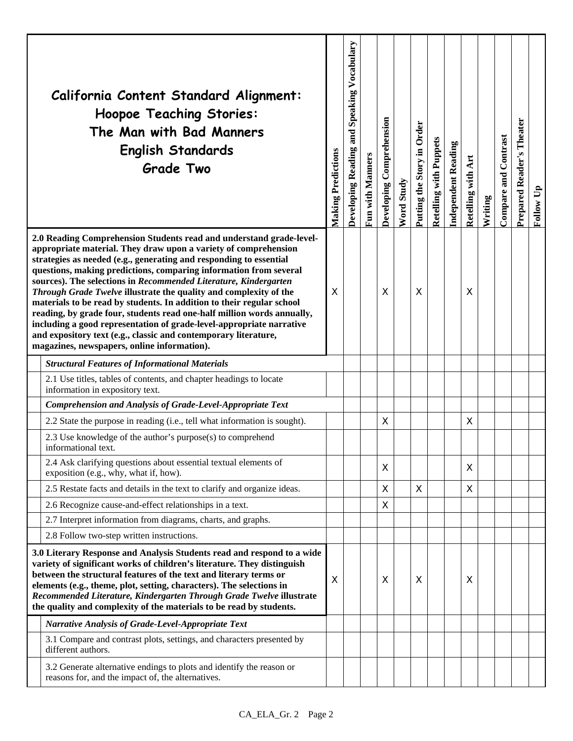|                                                                                                                                                                                                                                                                                                                                                                                                                                               | California Content Standard Alignment:<br><b>Hoopoe Teaching Stories:</b><br>The Man with Bad Manners<br><b>English Standards</b><br><b>Grade Two</b>                                                                                                                                                                                                                                                                                                                                                                                                                                                                                                                                                                                                                   | <b>Making Predictions</b> | and Speaking Vocabulary<br>Developing Reading | Fun with Manners | Developing Comprehension | Word Study | Putting the Story in Order | <b>Retelling with Puppets</b> | <b>Independent Reading</b> | Retelling with Art | Writing | <b>Compare and Contrast</b> | Theater<br><b>Prepared Reader's</b> | Follow Up |
|-----------------------------------------------------------------------------------------------------------------------------------------------------------------------------------------------------------------------------------------------------------------------------------------------------------------------------------------------------------------------------------------------------------------------------------------------|-------------------------------------------------------------------------------------------------------------------------------------------------------------------------------------------------------------------------------------------------------------------------------------------------------------------------------------------------------------------------------------------------------------------------------------------------------------------------------------------------------------------------------------------------------------------------------------------------------------------------------------------------------------------------------------------------------------------------------------------------------------------------|---------------------------|-----------------------------------------------|------------------|--------------------------|------------|----------------------------|-------------------------------|----------------------------|--------------------|---------|-----------------------------|-------------------------------------|-----------|
|                                                                                                                                                                                                                                                                                                                                                                                                                                               | 2.0 Reading Comprehension Students read and understand grade-level-<br>appropriate material. They draw upon a variety of comprehension<br>strategies as needed (e.g., generating and responding to essential<br>questions, making predictions, comparing information from several<br>sources). The selections in Recommended Literature, Kindergarten<br>Through Grade Twelve illustrate the quality and complexity of the<br>materials to be read by students. In addition to their regular school<br>reading, by grade four, students read one-half million words annually,<br>including a good representation of grade-level-appropriate narrative<br>and expository text (e.g., classic and contemporary literature,<br>magazines, newspapers, online information). | X                         |                                               |                  | X                        |            | X                          |                               |                            | X                  |         |                             |                                     |           |
|                                                                                                                                                                                                                                                                                                                                                                                                                                               | <b>Structural Features of Informational Materials</b>                                                                                                                                                                                                                                                                                                                                                                                                                                                                                                                                                                                                                                                                                                                   |                           |                                               |                  |                          |            |                            |                               |                            |                    |         |                             |                                     |           |
|                                                                                                                                                                                                                                                                                                                                                                                                                                               | 2.1 Use titles, tables of contents, and chapter headings to locate<br>information in expository text.                                                                                                                                                                                                                                                                                                                                                                                                                                                                                                                                                                                                                                                                   |                           |                                               |                  |                          |            |                            |                               |                            |                    |         |                             |                                     |           |
|                                                                                                                                                                                                                                                                                                                                                                                                                                               | <b>Comprehension and Analysis of Grade-Level-Appropriate Text</b>                                                                                                                                                                                                                                                                                                                                                                                                                                                                                                                                                                                                                                                                                                       |                           |                                               |                  |                          |            |                            |                               |                            |                    |         |                             |                                     |           |
|                                                                                                                                                                                                                                                                                                                                                                                                                                               | 2.2 State the purpose in reading (i.e., tell what information is sought).                                                                                                                                                                                                                                                                                                                                                                                                                                                                                                                                                                                                                                                                                               |                           |                                               |                  | X                        |            |                            |                               |                            | X                  |         |                             |                                     |           |
|                                                                                                                                                                                                                                                                                                                                                                                                                                               | 2.3 Use knowledge of the author's purpose(s) to comprehend<br>informational text.                                                                                                                                                                                                                                                                                                                                                                                                                                                                                                                                                                                                                                                                                       |                           |                                               |                  |                          |            |                            |                               |                            |                    |         |                             |                                     |           |
|                                                                                                                                                                                                                                                                                                                                                                                                                                               | 2.4 Ask clarifying questions about essential textual elements of<br>exposition (e.g., why, what if, how).                                                                                                                                                                                                                                                                                                                                                                                                                                                                                                                                                                                                                                                               |                           |                                               |                  | X                        |            |                            |                               |                            | X                  |         |                             |                                     |           |
|                                                                                                                                                                                                                                                                                                                                                                                                                                               | 2.5 Restate facts and details in the text to clarify and organize ideas.                                                                                                                                                                                                                                                                                                                                                                                                                                                                                                                                                                                                                                                                                                |                           |                                               |                  | X                        |            | X                          |                               |                            | X                  |         |                             |                                     |           |
|                                                                                                                                                                                                                                                                                                                                                                                                                                               | 2.6 Recognize cause-and-effect relationships in a text.                                                                                                                                                                                                                                                                                                                                                                                                                                                                                                                                                                                                                                                                                                                 |                           |                                               |                  | Χ                        |            |                            |                               |                            |                    |         |                             |                                     |           |
|                                                                                                                                                                                                                                                                                                                                                                                                                                               | 2.7 Interpret information from diagrams, charts, and graphs.                                                                                                                                                                                                                                                                                                                                                                                                                                                                                                                                                                                                                                                                                                            |                           |                                               |                  |                          |            |                            |                               |                            |                    |         |                             |                                     |           |
|                                                                                                                                                                                                                                                                                                                                                                                                                                               | 2.8 Follow two-step written instructions.                                                                                                                                                                                                                                                                                                                                                                                                                                                                                                                                                                                                                                                                                                                               |                           |                                               |                  |                          |            |                            |                               |                            |                    |         |                             |                                     |           |
| 3.0 Literary Response and Analysis Students read and respond to a wide<br>variety of significant works of children's literature. They distinguish<br>between the structural features of the text and literary terms or<br>elements (e.g., theme, plot, setting, characters). The selections in<br>Recommended Literature, Kindergarten Through Grade Twelve illustrate<br>the quality and complexity of the materials to be read by students. |                                                                                                                                                                                                                                                                                                                                                                                                                                                                                                                                                                                                                                                                                                                                                                         | X                         |                                               |                  | X                        |            | X                          |                               |                            | X                  |         |                             |                                     |           |
|                                                                                                                                                                                                                                                                                                                                                                                                                                               | <b>Narrative Analysis of Grade-Level-Appropriate Text</b>                                                                                                                                                                                                                                                                                                                                                                                                                                                                                                                                                                                                                                                                                                               |                           |                                               |                  |                          |            |                            |                               |                            |                    |         |                             |                                     |           |
|                                                                                                                                                                                                                                                                                                                                                                                                                                               | 3.1 Compare and contrast plots, settings, and characters presented by<br>different authors.                                                                                                                                                                                                                                                                                                                                                                                                                                                                                                                                                                                                                                                                             |                           |                                               |                  |                          |            |                            |                               |                            |                    |         |                             |                                     |           |
|                                                                                                                                                                                                                                                                                                                                                                                                                                               | 3.2 Generate alternative endings to plots and identify the reason or<br>reasons for, and the impact of, the alternatives.                                                                                                                                                                                                                                                                                                                                                                                                                                                                                                                                                                                                                                               |                           |                                               |                  |                          |            |                            |                               |                            |                    |         |                             |                                     |           |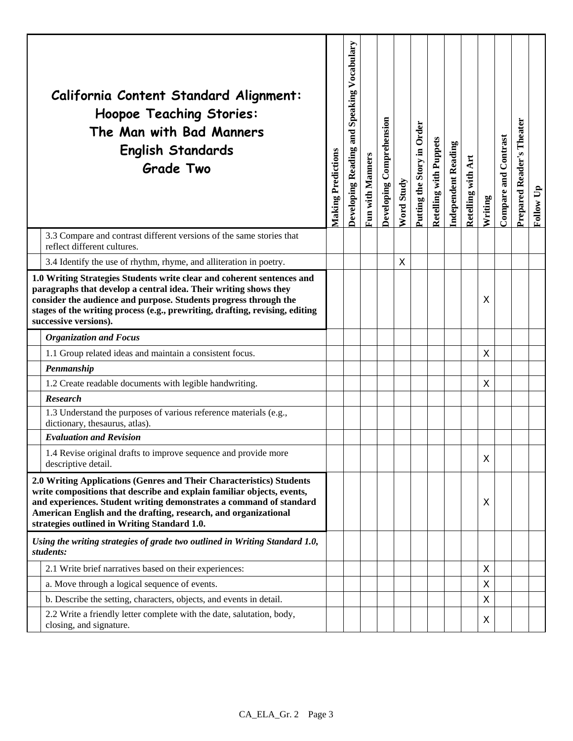|                                                                                                                                                                                                                                                                                                                                          | California Content Standard Alignment:<br><b>Hoopoe Teaching Stories:</b><br>The Man with Bad Manners<br><b>English Standards</b><br><b>Grade Two</b> | <b>Making Predictions</b> | Vocabulary<br>Speaking<br>and:<br>Developing Reading | Fun with Manners | Developing Comprehension | <b>Word Study</b> | Putting the Story in Order | Retelling with Puppets | <b>Independent Reading</b> | Retelling with Art | Writing | Compare and Contrast | Theater<br><b>Prepared Reader's</b> | Follow Up |
|------------------------------------------------------------------------------------------------------------------------------------------------------------------------------------------------------------------------------------------------------------------------------------------------------------------------------------------|-------------------------------------------------------------------------------------------------------------------------------------------------------|---------------------------|------------------------------------------------------|------------------|--------------------------|-------------------|----------------------------|------------------------|----------------------------|--------------------|---------|----------------------|-------------------------------------|-----------|
|                                                                                                                                                                                                                                                                                                                                          | 3.3 Compare and contrast different versions of the same stories that<br>reflect different cultures.                                                   |                           |                                                      |                  |                          |                   |                            |                        |                            |                    |         |                      |                                     |           |
|                                                                                                                                                                                                                                                                                                                                          | 3.4 Identify the use of rhythm, rhyme, and alliteration in poetry.                                                                                    |                           |                                                      |                  |                          | X                 |                            |                        |                            |                    |         |                      |                                     |           |
| 1.0 Writing Strategies Students write clear and coherent sentences and<br>paragraphs that develop a central idea. Their writing shows they<br>consider the audience and purpose. Students progress through the<br>stages of the writing process (e.g., prewriting, drafting, revising, editing<br>successive versions).                  |                                                                                                                                                       |                           |                                                      |                  |                          |                   |                            |                        |                            |                    | X       |                      |                                     |           |
|                                                                                                                                                                                                                                                                                                                                          | <b>Organization and Focus</b>                                                                                                                         |                           |                                                      |                  |                          |                   |                            |                        |                            |                    |         |                      |                                     |           |
|                                                                                                                                                                                                                                                                                                                                          | 1.1 Group related ideas and maintain a consistent focus.                                                                                              |                           |                                                      |                  |                          |                   |                            |                        |                            |                    | X       |                      |                                     |           |
|                                                                                                                                                                                                                                                                                                                                          | Penmanship                                                                                                                                            |                           |                                                      |                  |                          |                   |                            |                        |                            |                    |         |                      |                                     |           |
|                                                                                                                                                                                                                                                                                                                                          | 1.2 Create readable documents with legible handwriting.                                                                                               |                           |                                                      |                  |                          |                   |                            |                        |                            |                    | X       |                      |                                     |           |
|                                                                                                                                                                                                                                                                                                                                          | <b>Research</b>                                                                                                                                       |                           |                                                      |                  |                          |                   |                            |                        |                            |                    |         |                      |                                     |           |
|                                                                                                                                                                                                                                                                                                                                          | 1.3 Understand the purposes of various reference materials (e.g.,<br>dictionary, thesaurus, atlas).                                                   |                           |                                                      |                  |                          |                   |                            |                        |                            |                    |         |                      |                                     |           |
|                                                                                                                                                                                                                                                                                                                                          | <b>Evaluation and Revision</b>                                                                                                                        |                           |                                                      |                  |                          |                   |                            |                        |                            |                    |         |                      |                                     |           |
|                                                                                                                                                                                                                                                                                                                                          | 1.4 Revise original drafts to improve sequence and provide more<br>descriptive detail.                                                                |                           |                                                      |                  |                          |                   |                            |                        |                            |                    | Χ       |                      |                                     |           |
| 2.0 Writing Applications (Genres and Their Characteristics) Students<br>write compositions that describe and explain familiar objects, events,<br>and experiences. Student writing demonstrates a command of standard<br>American English and the drafting, research, and organizational<br>strategies outlined in Writing Standard 1.0. |                                                                                                                                                       |                           |                                                      |                  |                          |                   |                            |                        |                            |                    | X       |                      |                                     |           |
|                                                                                                                                                                                                                                                                                                                                          | Using the writing strategies of grade two outlined in Writing Standard 1.0,<br>students:                                                              |                           |                                                      |                  |                          |                   |                            |                        |                            |                    |         |                      |                                     |           |
|                                                                                                                                                                                                                                                                                                                                          | 2.1 Write brief narratives based on their experiences:                                                                                                |                           |                                                      |                  |                          |                   |                            |                        |                            |                    | X       |                      |                                     |           |
|                                                                                                                                                                                                                                                                                                                                          | a. Move through a logical sequence of events.                                                                                                         |                           |                                                      |                  |                          |                   |                            |                        |                            |                    | X       |                      |                                     |           |
|                                                                                                                                                                                                                                                                                                                                          | b. Describe the setting, characters, objects, and events in detail.                                                                                   |                           |                                                      |                  |                          |                   |                            |                        |                            |                    | Χ       |                      |                                     |           |
|                                                                                                                                                                                                                                                                                                                                          | 2.2 Write a friendly letter complete with the date, salutation, body,<br>closing, and signature.                                                      |                           |                                                      |                  |                          |                   |                            |                        |                            |                    | X       |                      |                                     |           |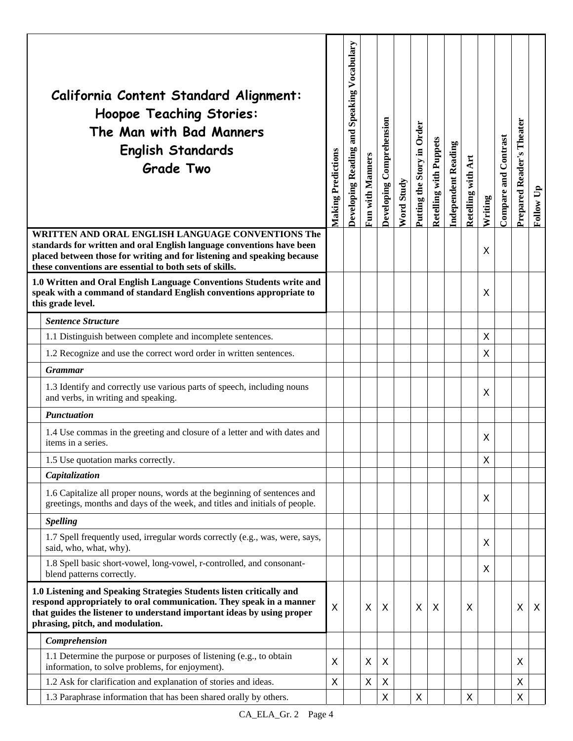|                                                                                                                                                                                                                                                                  | California Content Standard Alignment:<br><b>Hoopoe Teaching Stories:</b><br>The Man with Bad Manners<br><b>English Standards</b><br><b>Grade Two</b>            | <b>Making Predictions</b> | and Speaking Vocabulary<br>Developing Reading | Fun with Manners | Developing Comprehension | Word Study | Putting the Story in Order | Retelling with Puppets | Independent Reading | Retelling with Art | Writing | <b>Compare and Contrast</b> | Theater<br>Prepared Reader's | Follow Up |
|------------------------------------------------------------------------------------------------------------------------------------------------------------------------------------------------------------------------------------------------------------------|------------------------------------------------------------------------------------------------------------------------------------------------------------------|---------------------------|-----------------------------------------------|------------------|--------------------------|------------|----------------------------|------------------------|---------------------|--------------------|---------|-----------------------------|------------------------------|-----------|
| WRITTEN AND ORAL ENGLISH LANGUAGE CONVENTIONS The<br>standards for written and oral English language conventions have been<br>placed between those for writing and for listening and speaking because<br>these conventions are essential to both sets of skills. |                                                                                                                                                                  |                           |                                               |                  |                          |            |                            |                        |                     |                    | X       |                             |                              |           |
|                                                                                                                                                                                                                                                                  | 1.0 Written and Oral English Language Conventions Students write and<br>speak with a command of standard English conventions appropriate to<br>this grade level. |                           |                                               |                  |                          |            |                            |                        |                     |                    | X       |                             |                              |           |
|                                                                                                                                                                                                                                                                  | <b>Sentence Structure</b>                                                                                                                                        |                           |                                               |                  |                          |            |                            |                        |                     |                    |         |                             |                              |           |
|                                                                                                                                                                                                                                                                  | 1.1 Distinguish between complete and incomplete sentences.                                                                                                       |                           |                                               |                  |                          |            |                            |                        |                     |                    | X       |                             |                              |           |
|                                                                                                                                                                                                                                                                  | 1.2 Recognize and use the correct word order in written sentences.                                                                                               |                           |                                               |                  |                          |            |                            |                        |                     |                    | X       |                             |                              |           |
|                                                                                                                                                                                                                                                                  | <b>Grammar</b>                                                                                                                                                   |                           |                                               |                  |                          |            |                            |                        |                     |                    |         |                             |                              |           |
|                                                                                                                                                                                                                                                                  | 1.3 Identify and correctly use various parts of speech, including nouns<br>and verbs, in writing and speaking.                                                   |                           |                                               |                  |                          |            |                            |                        |                     |                    | X       |                             |                              |           |
|                                                                                                                                                                                                                                                                  | <b>Punctuation</b>                                                                                                                                               |                           |                                               |                  |                          |            |                            |                        |                     |                    |         |                             |                              |           |
|                                                                                                                                                                                                                                                                  | 1.4 Use commas in the greeting and closure of a letter and with dates and<br>items in a series.                                                                  |                           |                                               |                  |                          |            |                            |                        |                     |                    | X       |                             |                              |           |
|                                                                                                                                                                                                                                                                  | 1.5 Use quotation marks correctly.                                                                                                                               |                           |                                               |                  |                          |            |                            |                        |                     |                    | Χ       |                             |                              |           |
|                                                                                                                                                                                                                                                                  | Capitalization                                                                                                                                                   |                           |                                               |                  |                          |            |                            |                        |                     |                    |         |                             |                              |           |
|                                                                                                                                                                                                                                                                  | 1.6 Capitalize all proper nouns, words at the beginning of sentences and<br>greetings, months and days of the week, and titles and initials of people.           |                           |                                               |                  |                          |            |                            |                        |                     |                    | X       |                             |                              |           |
|                                                                                                                                                                                                                                                                  | <b>Spelling</b>                                                                                                                                                  |                           |                                               |                  |                          |            |                            |                        |                     |                    |         |                             |                              |           |
|                                                                                                                                                                                                                                                                  | 1.7 Spell frequently used, irregular words correctly (e.g., was, were, says,<br>said, who, what, why).                                                           |                           |                                               |                  |                          |            |                            |                        |                     |                    | X       |                             |                              |           |
|                                                                                                                                                                                                                                                                  | 1.8 Spell basic short-vowel, long-vowel, r-controlled, and consonant-<br>blend patterns correctly.                                                               |                           |                                               |                  |                          |            |                            |                        |                     |                    | X       |                             |                              |           |
| 1.0 Listening and Speaking Strategies Students listen critically and<br>respond appropriately to oral communication. They speak in a manner<br>that guides the listener to understand important ideas by using proper<br>phrasing, pitch, and modulation.        |                                                                                                                                                                  | Χ                         |                                               | X                | X                        |            | $\sf X$                    | X                      |                     | X                  |         |                             | X                            | X         |
|                                                                                                                                                                                                                                                                  | Comprehension                                                                                                                                                    |                           |                                               |                  |                          |            |                            |                        |                     |                    |         |                             |                              |           |
|                                                                                                                                                                                                                                                                  | 1.1 Determine the purpose or purposes of listening (e.g., to obtain<br>information, to solve problems, for enjoyment).                                           | X                         |                                               | Χ                | X                        |            |                            |                        |                     |                    |         |                             | X                            |           |
|                                                                                                                                                                                                                                                                  | 1.2 Ask for clarification and explanation of stories and ideas.                                                                                                  | X                         |                                               | Χ                | Χ                        |            |                            |                        |                     |                    |         |                             | X                            |           |
|                                                                                                                                                                                                                                                                  | 1.3 Paraphrase information that has been shared orally by others.                                                                                                |                           |                                               |                  | Χ                        |            | $\pmb{\times}$             |                        |                     | $\mathsf X$        |         |                             | X                            |           |